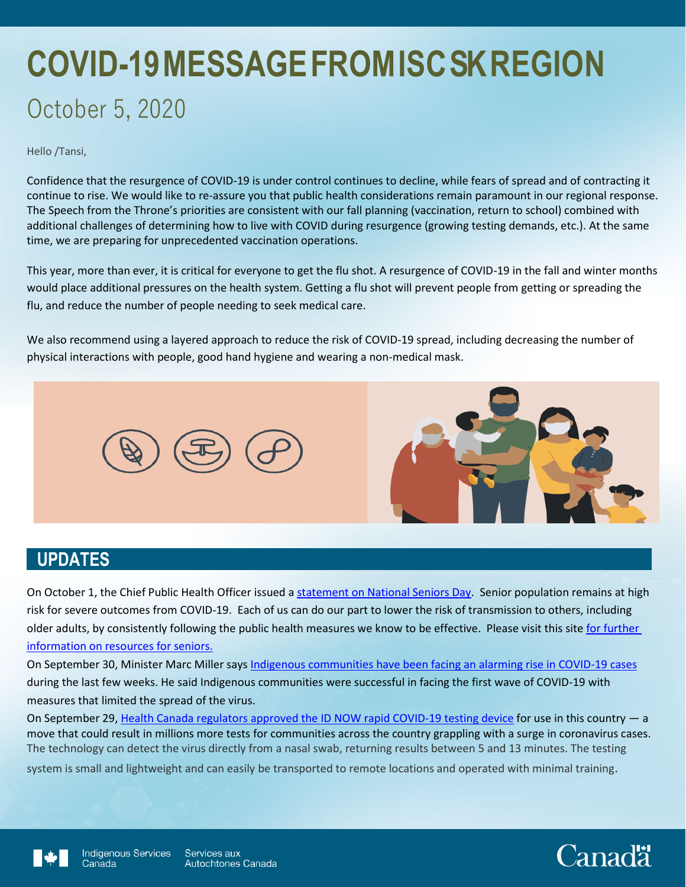# **COVID-19 MESSAGE FROM ISC SK REGION** October 5, 2020

Hello /Tansi,

Confidence that the resurgence of COVID-19 is under control continues to decline, while fears of spread and of contracting it continue to rise. We would like to re-assure you that public health considerations remain paramount in our regional response. The Speech from the Throne's priorities are consistent with our fall planning (vaccination, return to school) combined with additional challenges of determining how to live with COVID during resurgence (growing testing demands, etc.). At the same time, we are preparing for unprecedented vaccination operations.

This year, more than ever, it is critical for everyone to get the flu shot. A resurgence of COVID-19 in the fall and winter months would place additional pressures on the health system. Getting a flu shot will prevent people from getting or spreading the flu, and reduce the number of people needing to seek medical care.

We also recommend using a layered approach to reduce the risk of COVID-19 spread, including decreasing the number of physical interactions with people, good hand hygiene and wearing a non-medical mask.



## **UPDATES**

On October 1, the Chief Public Health Officer issued a [statement on National Seniors Day.](https://www.canada.ca/en/public-health/news/2020/10/statement-from-the-chief-public-health-officer-of-canada-on-october-1-2020.html) Senior population remains at high risk for severe outcomes from COVID-19. Each of us can do our part to lower the risk of transmission to others, including older adults, by consistently following the public health measures we know to be effective. Please visit this site for further [information on resources](https://www.canada.ca/en/public-health/services/diseases/coronavirus-disease-covid-19/resources-older-adults-caregivers.html) for seniors.

On September 30, Minister Marc Miller say[s Indigenous communities have been facing an alarming rise in COVID-19 cases](https://nationalpost.com/pmn/news-pmn/canada-news-pmn/covid-19-cases-rising-in-indigenous-communities) during the last few weeks. He said Indigenous communities were successful in facing the first wave of COVID-19 with measures that limited the spread of the virus.

On September 29, [Health Canada regulators approved the ID NOW rapid COVID-19 testing device](https://www.canada.ca/en/public-services-procurement/news/2020/09/government-of-canada-signs-agreement-for-covid-19-rapid-tests-and-analyzers.html) for use in this country — a move that could result in millions more tests for communities across the country grappling with a surge in coronavirus cases. The technology can detect the virus directly from a nasal swab, returning results between 5 and 13 minutes. The testing

system is small and lightweight and can easily be transported to remote locations and operated with minimal training.



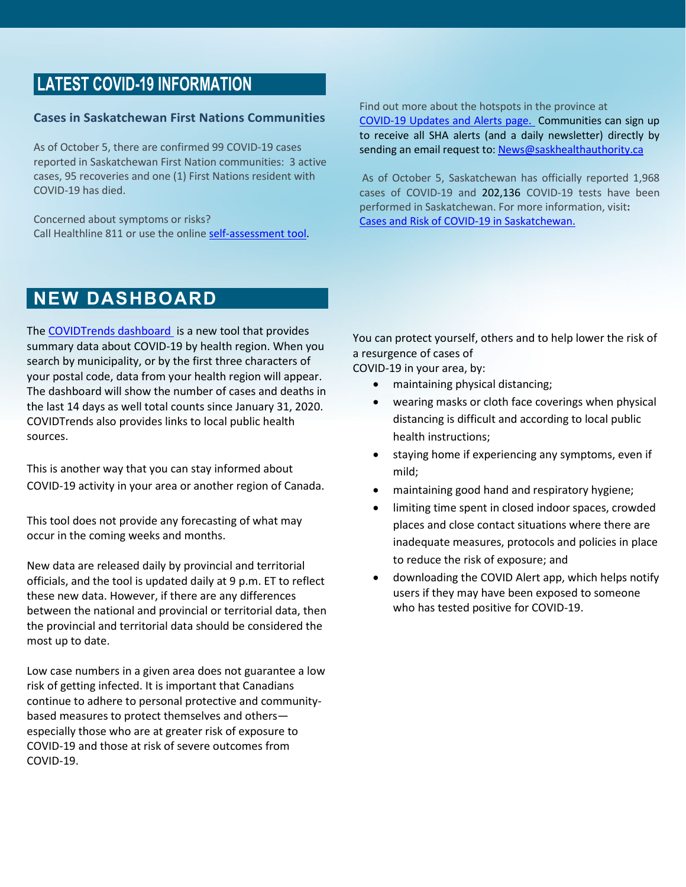# **LATEST COVID-19 INFORMATION**

#### **Cases in Saskatchewan First Nations Communities**

As of October 5, there are confirmed 99 COVID-19 cases reported in Saskatchewan First Nation communities: 3 active cases, 95 recoveries and one (1) First Nations resident with COVID-19 has died.

Concerned about symptoms or risks? Call Healthline 811 or use the online [self-assessment tool.](https://www.saskatchewan.ca/government/health-care-administration-and-provider-resources/treatment-procedures-and-guidelines/emerging-public-health-issues/2019-novel-coronavirus/covid-19-self-assessment)

#### Find out more about the hotspots in the province at [COVID-19 Updates and Alerts page.](https://www.saskatchewan.ca/government/health-care-administration-and-provider-resources/treatment-procedures-and-guidelines/emerging-public-health-issues/2019-novel-coronavirus/latest-updates#news-releases) Communities can sign up to receive all SHA alerts (and a daily newsletter) directly by sending an email request to[: News@saskhealthauthority.ca](mailto:News@saskhealthauthority.ca)

As of October 5, Saskatchewan has officially reported 1,968 cases of COVID-19 and 202,136 COVID-19 tests have been performed in Saskatchewan. For more information, visit**:** [Cases and Risk of COVID-19 in Saskatchewan.](https://www.saskatchewan.ca/government/health-care-administration-and-provider-resources/treatment-procedures-and-guidelines/emerging-public-health-issues/2019-novel-coronavirus/cases-and-risk-of-covid-19-in-saskatchewan)

## **NEW DASHBOARD**

The [COVIDTrends dashboard](https://health-infobase.canada.ca/covid-19/covidtrends/?HR=1&mapOpen=true) is a new tool that provides summary data about COVID-19 by health region. When you search by municipality, or by the first three characters of your postal code, data from your health region will appear. The dashboard will show the number of cases and deaths in the last 14 days as well total counts since January 31, 2020. COVIDTrends also provides links to local public health sources.

This is another way that you can stay informed about COVID-19 activity in your area or another region of Canada.

This tool does not provide any forecasting of what may occur in the coming weeks and months.

New data are released daily by provincial and territorial officials, and the tool is updated daily at 9 p.m. ET to reflect these new data. However, if there are any differences between the national and provincial or territorial data, then the provincial and territorial data should be considered the most up to date.

Low case numbers in a given area does not guarantee a low risk of getting infected. It is important that Canadians continue to adhere to personal protective and communitybased measures to protect themselves and others especially those who are at greater risk of exposure to COVID-19 and those at risk of severe outcomes from COVID-19.

You can protect yourself, others and to help lower the risk of a resurgence of cases of

COVID-19 in your area, by:

- maintaining physical distancing;
- wearing masks or cloth face coverings when physical distancing is difficult and according to local public health instructions;
- staying home if experiencing any symptoms, even if mild;
- maintaining good hand and respiratory hygiene;
- limiting time spent in closed indoor spaces, crowded places and close contact situations where there are inadequate measures, protocols and policies in place to reduce the risk of exposure; and
- downloading the COVID Alert app, which helps notify users if they may have been exposed to someone who has tested positive for COVID-19.